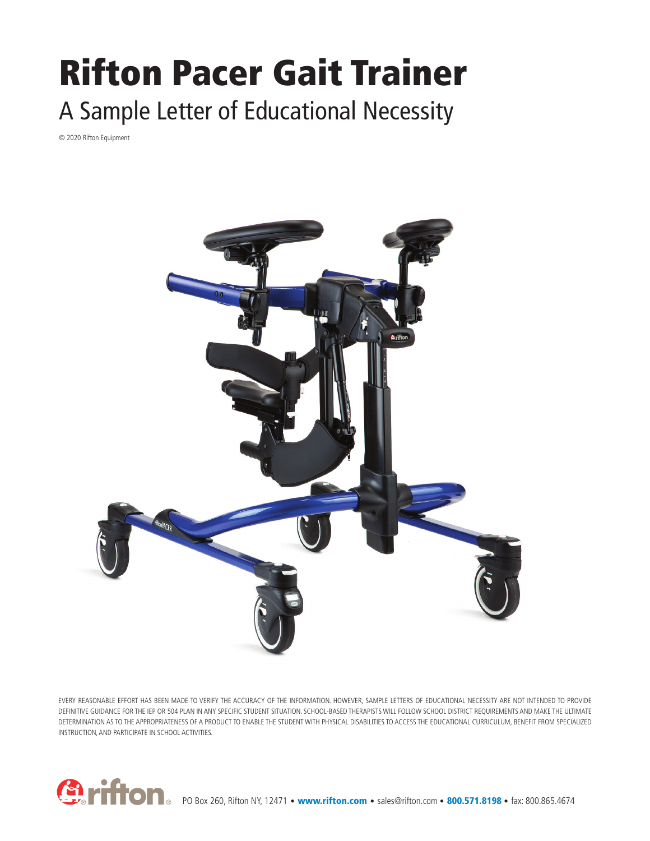## Rifton Pacer Gait Trainer A Sample Letter of Educational Necessity

© 2020 Rifton Equipment



EVERY REASONABLE EFFORT HAS BEEN MADE TO VERIFY THE ACCURACY OF THE INFORMATION. HOWEVER, SAMPLE LETTERS OF EDUCATIONAL NECESSITY ARE NOT INTENDED TO PROVIDE DEFINITIVE GUIDANCE FOR THE IEP OR 504 PLAN IN ANY SPECIFIC STUDENT SITUATION. SCHOOL-BASED THERAPISTS WILL FOLLOW SCHOOL DISTRICT REQUIREMENTS AND MAKE THE ULTIMATE DETERMINATION AS TO THE APPROPRIATENESS OF A PRODUCT TO ENABLE THE STUDENT WITH PHYSICAL DISABILITIES TO ACCESS THE EDUCATIONAL CURRICULUM, BENEFIT FROM SPECIALIZED INSTRUCTION, AND PARTICIPATE IN SCHOOL ACTIVITIES.

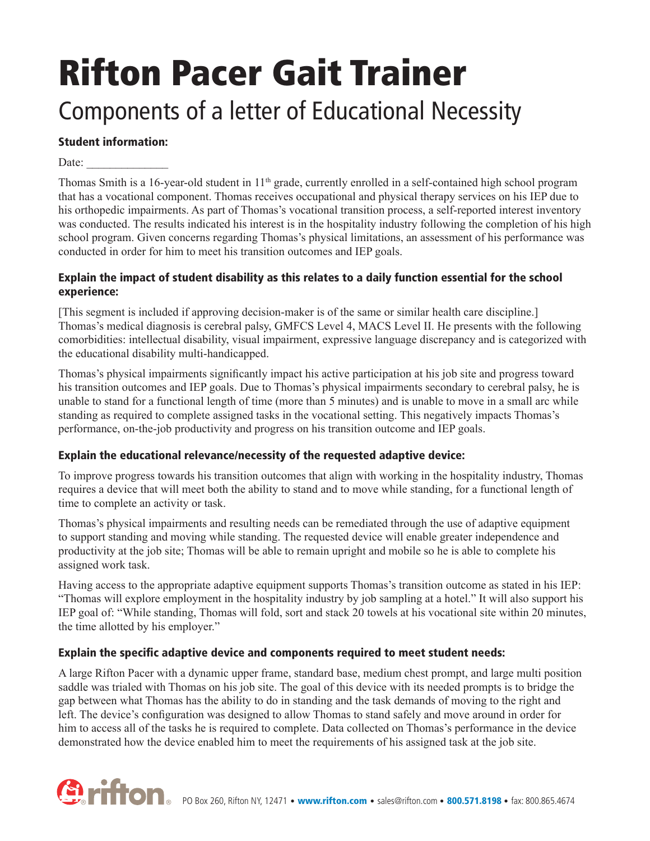# Rifton Pacer Gait Trainer

### Components of a letter of Educational Necessity

#### Student information:

Date:

Thomas Smith is a 16-year-old student in 11<sup>th</sup> grade, currently enrolled in a self-contained high school program that has a vocational component. Thomas receives occupational and physical therapy services on his IEP due to his orthopedic impairments. As part of Thomas's vocational transition process, a self-reported interest inventory was conducted. The results indicated his interest is in the hospitality industry following the completion of his high school program. Given concerns regarding Thomas's physical limitations, an assessment of his performance was conducted in order for him to meet his transition outcomes and IEP goals.

#### Explain the impact of student disability as this relates to a daily function essential for the school experience:

[This segment is included if approving decision-maker is of the same or similar health care discipline.] Thomas's medical diagnosis is cerebral palsy, GMFCS Level 4, MACS Level II. He presents with the following comorbidities: intellectual disability, visual impairment, expressive language discrepancy and is categorized with the educational disability multi-handicapped.

Thomas's physical impairments significantly impact his active participation at his job site and progress toward his transition outcomes and IEP goals. Due to Thomas's physical impairments secondary to cerebral palsy, he is unable to stand for a functional length of time (more than 5 minutes) and is unable to move in a small arc while standing as required to complete assigned tasks in the vocational setting. This negatively impacts Thomas's performance, on-the-job productivity and progress on his transition outcome and IEP goals.

#### Explain the educational relevance/necessity of the requested adaptive device:

To improve progress towards his transition outcomes that align with working in the hospitality industry, Thomas requires a device that will meet both the ability to stand and to move while standing, for a functional length of time to complete an activity or task.

Thomas's physical impairments and resulting needs can be remediated through the use of adaptive equipment to support standing and moving while standing. The requested device will enable greater independence and productivity at the job site; Thomas will be able to remain upright and mobile so he is able to complete his assigned work task.

Having access to the appropriate adaptive equipment supports Thomas's transition outcome as stated in his IEP: "Thomas will explore employment in the hospitality industry by job sampling at a hotel." It will also support his IEP goal of: "While standing, Thomas will fold, sort and stack 20 towels at his vocational site within 20 minutes, the time allotted by his employer."

#### Explain the specific adaptive device and components required to meet student needs:

A large Rifton Pacer with a dynamic upper frame, standard base, medium chest prompt, and large multi position saddle was trialed with Thomas on his job site. The goal of this device with its needed prompts is to bridge the gap between what Thomas has the ability to do in standing and the task demands of moving to the right and left. The device's configuration was designed to allow Thomas to stand safely and move around in order for him to access all of the tasks he is required to complete. Data collected on Thomas's performance in the device demonstrated how the device enabled him to meet the requirements of his assigned task at the job site.